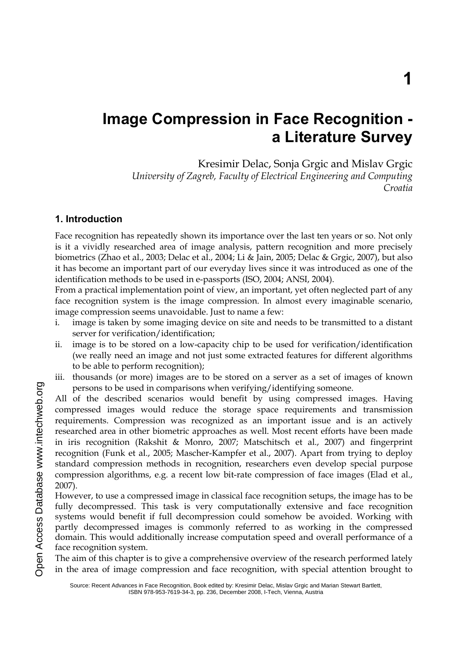# **Image Compression in Face Recognition a Literature Survey**

Kresimir Delac, Sonja Grgic and Mislav Grgic *University of Zagreb, Faculty of Electrical Engineering and Computing Croatia* 

## **1. Introduction**

Face recognition has repeatedly shown its importance over the last ten years or so. Not only is it a vividly researched area of image analysis, pattern recognition and more precisely biometrics (Zhao et al., 2003; Delac et al., 2004; Li & Jain, 2005; Delac & Grgic, 2007), but also it has become an important part of our everyday lives since it was introduced as one of the identification methods to be used in e-passports (ISO, 2004; ANSI, 2004).

From a practical implementation point of view, an important, yet often neglected part of any face recognition system is the image compression. In almost every imaginable scenario, image compression seems unavoidable. Just to name a few:

- i. image is taken by some imaging device on site and needs to be transmitted to a distant server for verification/identification;
- ii. image is to be stored on a low-capacity chip to be used for verification/identification (we really need an image and not just some extracted features for different algorithms to be able to perform recognition);
- iii. thousands (or more) images are to be stored on a server as a set of images of known persons to be used in comparisons when verifying/identifying someone.

All of the described scenarios would benefit by using compressed images. Having compressed images would reduce the storage space requirements and transmission requirements. Compression was recognized as an important issue and is an actively researched area in other biometric approaches as well. Most recent efforts have been made in iris recognition (Rakshit & Monro, 2007; Matschitsch et al., 2007) and fingerprint recognition (Funk et al., 2005; Mascher-Kampfer et al., 2007). Apart from trying to deploy standard compression methods in recognition, researchers even develop special purpose compression algorithms, e.g. a recent low bit-rate compression of face images (Elad et al., 2007).

However, to use a compressed image in classical face recognition setups, the image has to be fully decompressed. This task is very computationally extensive and face recognition systems would benefit if full decompression could somehow be avoided. Working with partly decompressed images is commonly referred to as working in the compressed domain. This would additionally increase computation speed and overall performance of a face recognition system.

The aim of this chapter is to give a comprehensive overview of the research performed lately in the area of image compression and face recognition, with special attention brought to

Source: Recent Advances in Face Recognition, Book edited by: Kresimir Delac, Mislav Grgic and Marian Stewart Bartlett, ISBN 978-953-7619-34-3, pp. 236, December 2008, I-Tech, Vienna, Austria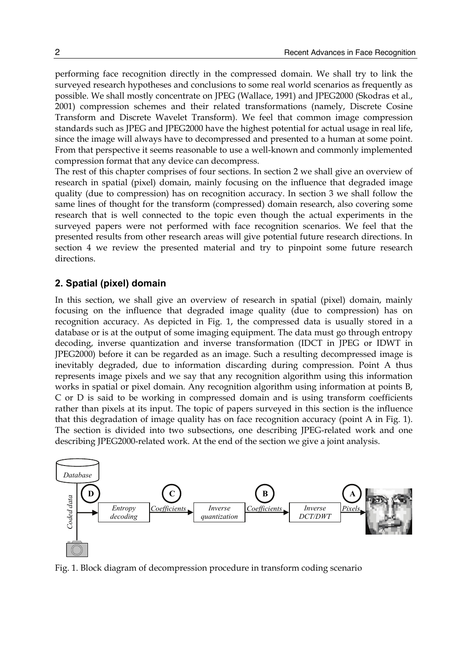performing face recognition directly in the compressed domain. We shall try to link the surveyed research hypotheses and conclusions to some real world scenarios as frequently as possible. We shall mostly concentrate on JPEG (Wallace, 1991) and JPEG2000 (Skodras et al., 2001) compression schemes and their related transformations (namely, Discrete Cosine Transform and Discrete Wavelet Transform). We feel that common image compression standards such as JPEG and JPEG2000 have the highest potential for actual usage in real life, since the image will always have to decompressed and presented to a human at some point. From that perspective it seems reasonable to use a well-known and commonly implemented compression format that any device can decompress.

The rest of this chapter comprises of four sections. In section 2 we shall give an overview of research in spatial (pixel) domain, mainly focusing on the influence that degraded image quality (due to compression) has on recognition accuracy. In section 3 we shall follow the same lines of thought for the transform (compressed) domain research, also covering some research that is well connected to the topic even though the actual experiments in the surveyed papers were not performed with face recognition scenarios. We feel that the presented results from other research areas will give potential future research directions. In section 4 we review the presented material and try to pinpoint some future research directions.

## **2. Spatial (pixel) domain**

In this section, we shall give an overview of research in spatial (pixel) domain, mainly focusing on the influence that degraded image quality (due to compression) has on recognition accuracy. As depicted in Fig. 1, the compressed data is usually stored in a database or is at the output of some imaging equipment. The data must go through entropy decoding, inverse quantization and inverse transformation (IDCT in JPEG or IDWT in JPEG2000) before it can be regarded as an image. Such a resulting decompressed image is inevitably degraded, due to information discarding during compression. Point A thus represents image pixels and we say that any recognition algorithm using this information works in spatial or pixel domain. Any recognition algorithm using information at points B, C or D is said to be working in compressed domain and is using transform coefficients rather than pixels at its input. The topic of papers surveyed in this section is the influence that this degradation of image quality has on face recognition accuracy (point A in Fig. 1). The section is divided into two subsections, one describing JPEG-related work and one describing JPEG2000-related work. At the end of the section we give a joint analysis.



Fig. 1. Block diagram of decompression procedure in transform coding scenario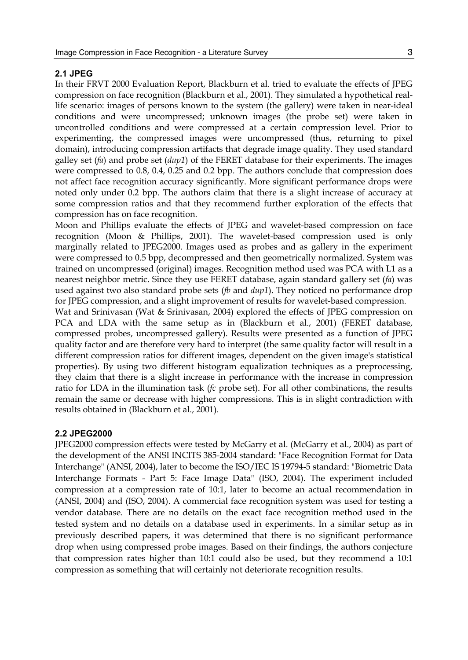#### **2.1 JPEG**

In their FRVT 2000 Evaluation Report, Blackburn et al. tried to evaluate the effects of JPEG compression on face recognition (Blackburn et al., 2001). They simulated a hypothetical reallife scenario: images of persons known to the system (the gallery) were taken in near-ideal conditions and were uncompressed; unknown images (the probe set) were taken in uncontrolled conditions and were compressed at a certain compression level. Prior to experimenting, the compressed images were uncompressed (thus, returning to pixel domain), introducing compression artifacts that degrade image quality. They used standard galley set (*fa*) and probe set (*dup1*) of the FERET database for their experiments. The images were compressed to 0.8, 0.4, 0.25 and 0.2 bpp. The authors conclude that compression does not affect face recognition accuracy significantly. More significant performance drops were noted only under 0.2 bpp. The authors claim that there is a slight increase of accuracy at some compression ratios and that they recommend further exploration of the effects that compression has on face recognition.

Moon and Phillips evaluate the effects of JPEG and wavelet-based compression on face recognition (Moon & Phillips, 2001). The wavelet-based compression used is only marginally related to JPEG2000. Images used as probes and as gallery in the experiment were compressed to 0.5 bpp, decompressed and then geometrically normalized. System was trained on uncompressed (original) images. Recognition method used was PCA with L1 as a nearest neighbor metric. Since they use FERET database, again standard gallery set (*fa*) was used against two also standard probe sets (*fb* and *dup1*). They noticed no performance drop for JPEG compression, and a slight improvement of results for wavelet-based compression.

Wat and Srinivasan (Wat & Srinivasan, 2004) explored the effects of JPEG compression on PCA and LDA with the same setup as in (Blackburn et al., 2001) (FERET database, compressed probes, uncompressed gallery). Results were presented as a function of JPEG quality factor and are therefore very hard to interpret (the same quality factor will result in a different compression ratios for different images, dependent on the given image's statistical properties). By using two different histogram equalization techniques as a preprocessing, they claim that there is a slight increase in performance with the increase in compression ratio for LDA in the illumination task (*fc* probe set). For all other combinations, the results remain the same or decrease with higher compressions. This is in slight contradiction with results obtained in (Blackburn et al., 2001).

#### **2.2 JPEG2000**

JPEG2000 compression effects were tested by McGarry et al. (McGarry et al., 2004) as part of the development of the ANSI INCITS 385-2004 standard: "Face Recognition Format for Data Interchange" (ANSI, 2004), later to become the ISO/IEC IS 19794-5 standard: "Biometric Data Interchange Formats - Part 5: Face Image Data" (ISO, 2004). The experiment included compression at a compression rate of 10:1, later to become an actual recommendation in (ANSI, 2004) and (ISO, 2004). A commercial face recognition system was used for testing a vendor database. There are no details on the exact face recognition method used in the tested system and no details on a database used in experiments. In a similar setup as in previously described papers, it was determined that there is no significant performance drop when using compressed probe images. Based on their findings, the authors conjecture that compression rates higher than 10:1 could also be used, but they recommend a 10:1 compression as something that will certainly not deteriorate recognition results.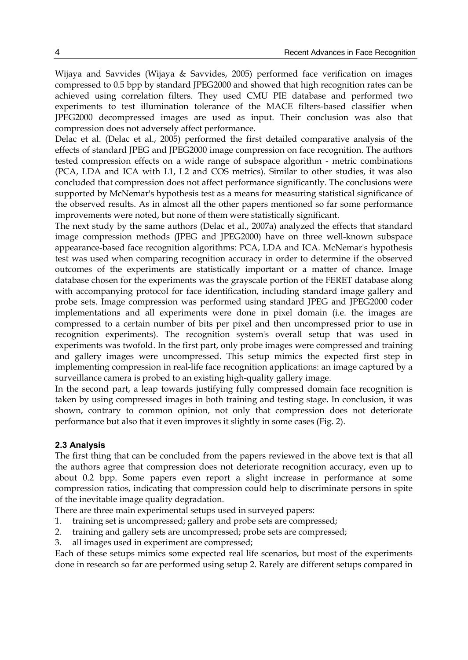Wijaya and Savvides (Wijaya & Savvides, 2005) performed face verification on images compressed to 0.5 bpp by standard JPEG2000 and showed that high recognition rates can be achieved using correlation filters. They used CMU PIE database and performed two experiments to test illumination tolerance of the MACE filters-based classifier when JPEG2000 decompressed images are used as input. Their conclusion was also that compression does not adversely affect performance.

Delac et al. (Delac et al., 2005) performed the first detailed comparative analysis of the effects of standard JPEG and JPEG2000 image compression on face recognition. The authors tested compression effects on a wide range of subspace algorithm - metric combinations (PCA, LDA and ICA with L1, L2 and COS metrics). Similar to other studies, it was also concluded that compression does not affect performance significantly. The conclusions were supported by McNemar's hypothesis test as a means for measuring statistical significance of the observed results. As in almost all the other papers mentioned so far some performance improvements were noted, but none of them were statistically significant.

The next study by the same authors (Delac et al., 2007a) analyzed the effects that standard image compression methods (JPEG and JPEG2000) have on three well-known subspace appearance-based face recognition algorithms: PCA, LDA and ICA. McNemar's hypothesis test was used when comparing recognition accuracy in order to determine if the observed outcomes of the experiments are statistically important or a matter of chance. Image database chosen for the experiments was the grayscale portion of the FERET database along with accompanying protocol for face identification, including standard image gallery and probe sets. Image compression was performed using standard JPEG and JPEG2000 coder implementations and all experiments were done in pixel domain (i.e. the images are compressed to a certain number of bits per pixel and then uncompressed prior to use in recognition experiments). The recognition system's overall setup that was used in experiments was twofold. In the first part, only probe images were compressed and training and gallery images were uncompressed. This setup mimics the expected first step in implementing compression in real-life face recognition applications: an image captured by a surveillance camera is probed to an existing high-quality gallery image.

In the second part, a leap towards justifying fully compressed domain face recognition is taken by using compressed images in both training and testing stage. In conclusion, it was shown, contrary to common opinion, not only that compression does not deteriorate performance but also that it even improves it slightly in some cases (Fig. 2).

## **2.3 Analysis**

The first thing that can be concluded from the papers reviewed in the above text is that all the authors agree that compression does not deteriorate recognition accuracy, even up to about 0.2 bpp. Some papers even report a slight increase in performance at some compression ratios, indicating that compression could help to discriminate persons in spite of the inevitable image quality degradation.

There are three main experimental setups used in surveyed papers:

- 1. training set is uncompressed; gallery and probe sets are compressed;
- 2. training and gallery sets are uncompressed; probe sets are compressed;
- 3. all images used in experiment are compressed;

Each of these setups mimics some expected real life scenarios, but most of the experiments done in research so far are performed using setup 2. Rarely are different setups compared in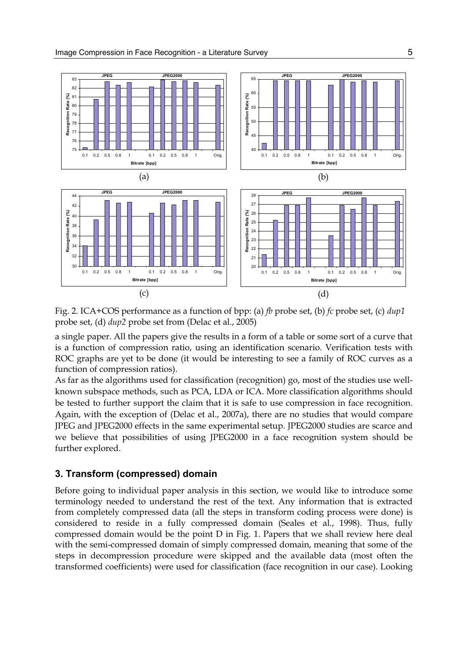

Fig. 2. ICA+COS performance as a function of bpp: (a) *fb* probe set, (b) *fc* probe set, (c) *dup1* probe set, (d) *dup2* probe set from (Delac et al., 2005)

a single paper. All the papers give the results in a form of a table or some sort of a curve that is a function of compression ratio, using an identification scenario. Verification tests with ROC graphs are yet to be done (it would be interesting to see a family of ROC curves as a function of compression ratios).

As far as the algorithms used for classification (recognition) go, most of the studies use wellknown subspace methods, such as PCA, LDA or ICA. More classification algorithms should be tested to further support the claim that it is safe to use compression in face recognition. Again, with the exception of (Delac et al., 2007a), there are no studies that would compare JPEG and JPEG2000 effects in the same experimental setup. JPEG2000 studies are scarce and we believe that possibilities of using JPEG2000 in a face recognition system should be further explored.

## **3. Transform (compressed) domain**

Before going to individual paper analysis in this section, we would like to introduce some terminology needed to understand the rest of the text. Any information that is extracted from completely compressed data (all the steps in transform coding process were done) is considered to reside in a fully compressed domain (Seales et al., 1998). Thus, fully compressed domain would be the point D in Fig. 1. Papers that we shall review here deal with the semi-compressed domain of simply compressed domain, meaning that some of the steps in decompression procedure were skipped and the available data (most often the transformed coefficients) were used for classification (face recognition in our case). Looking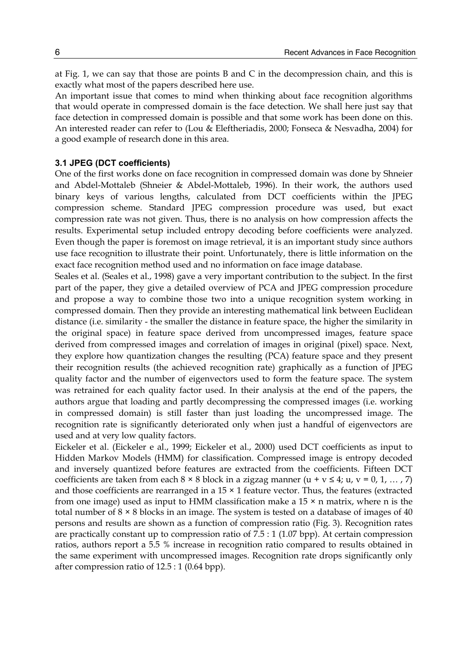at Fig. 1, we can say that those are points B and C in the decompression chain, and this is exactly what most of the papers described here use.

An important issue that comes to mind when thinking about face recognition algorithms that would operate in compressed domain is the face detection. We shall here just say that face detection in compressed domain is possible and that some work has been done on this. An interested reader can refer to (Lou & Eleftheriadis, 2000; Fonseca & Nesvadha, 2004) for a good example of research done in this area.

#### **3.1 JPEG (DCT coefficients)**

One of the first works done on face recognition in compressed domain was done by Shneier and Abdel-Mottaleb (Shneier & Abdel-Mottaleb, 1996). In their work, the authors used binary keys of various lengths, calculated from DCT coefficients within the JPEG compression scheme. Standard JPEG compression procedure was used, but exact compression rate was not given. Thus, there is no analysis on how compression affects the results. Experimental setup included entropy decoding before coefficients were analyzed. Even though the paper is foremost on image retrieval, it is an important study since authors use face recognition to illustrate their point. Unfortunately, there is little information on the exact face recognition method used and no information on face image database.

Seales et al. (Seales et al., 1998) gave a very important contribution to the subject. In the first part of the paper, they give a detailed overview of PCA and JPEG compression procedure and propose a way to combine those two into a unique recognition system working in compressed domain. Then they provide an interesting mathematical link between Euclidean distance (i.e. similarity - the smaller the distance in feature space, the higher the similarity in the original space) in feature space derived from uncompressed images, feature space derived from compressed images and correlation of images in original (pixel) space. Next, they explore how quantization changes the resulting (PCA) feature space and they present their recognition results (the achieved recognition rate) graphically as a function of JPEG quality factor and the number of eigenvectors used to form the feature space. The system was retrained for each quality factor used. In their analysis at the end of the papers, the authors argue that loading and partly decompressing the compressed images (i.e. working in compressed domain) is still faster than just loading the uncompressed image. The recognition rate is significantly deteriorated only when just a handful of eigenvectors are used and at very low quality factors.

Eickeler et al. (Eickeler e al., 1999; Eickeler et al., 2000) used DCT coefficients as input to Hidden Markov Models (HMM) for classification. Compressed image is entropy decoded and inversely quantized before features are extracted from the coefficients. Fifteen DCT coefficients are taken from each  $8 \times 8$  block in a zigzag manner (u + v  $\leq 4$ ; u, v = 0, 1, ..., 7) and those coefficients are rearranged in a  $15 \times 1$  feature vector. Thus, the features (extracted from one image) used as input to HMM classification make a  $15 \times n$  matrix, where n is the total number of  $8 \times 8$  blocks in an image. The system is tested on a database of images of 40 persons and results are shown as a function of compression ratio (Fig. 3). Recognition rates are practically constant up to compression ratio of 7.5 : 1 (1.07 bpp). At certain compression ratios, authors report a 5.5 % increase in recognition ratio compared to results obtained in the same experiment with uncompressed images. Recognition rate drops significantly only after compression ratio of 12.5 : 1 (0.64 bpp).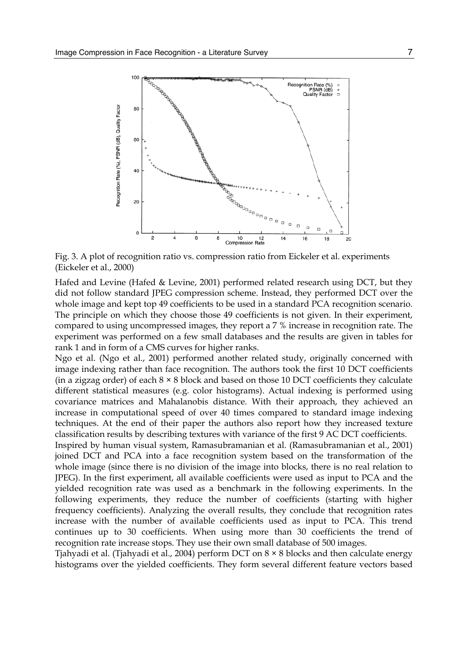

Fig. 3. A plot of recognition ratio vs. compression ratio from Eickeler et al. experiments (Eickeler et al., 2000)

Hafed and Levine (Hafed & Levine, 2001) performed related research using DCT, but they did not follow standard JPEG compression scheme. Instead, they performed DCT over the whole image and kept top 49 coefficients to be used in a standard PCA recognition scenario. The principle on which they choose those 49 coefficients is not given. In their experiment, compared to using uncompressed images, they report a 7 % increase in recognition rate. The experiment was performed on a few small databases and the results are given in tables for rank 1 and in form of a CMS curves for higher ranks.

Ngo et al. (Ngo et al., 2001) performed another related study, originally concerned with image indexing rather than face recognition. The authors took the first 10 DCT coefficients (in a zigzag order) of each  $8 \times 8$  block and based on those 10 DCT coefficients they calculate different statistical measures (e.g. color histograms). Actual indexing is performed using covariance matrices and Mahalanobis distance. With their approach, they achieved an increase in computational speed of over 40 times compared to standard image indexing techniques. At the end of their paper the authors also report how they increased texture classification results by describing textures with variance of the first 9 AC DCT coefficients.

Inspired by human visual system, Ramasubramanian et al. (Ramasubramanian et al., 2001) joined DCT and PCA into a face recognition system based on the transformation of the whole image (since there is no division of the image into blocks, there is no real relation to JPEG). In the first experiment, all available coefficients were used as input to PCA and the yielded recognition rate was used as a benchmark in the following experiments. In the following experiments, they reduce the number of coefficients (starting with higher frequency coefficients). Analyzing the overall results, they conclude that recognition rates increase with the number of available coefficients used as input to PCA. This trend continues up to 30 coefficients. When using more than 30 coefficients the trend of recognition rate increase stops. They use their own small database of 500 images.

Tjahyadi et al. (Tjahyadi et al., 2004) perform DCT on 8 × 8 blocks and then calculate energy histograms over the yielded coefficients. They form several different feature vectors based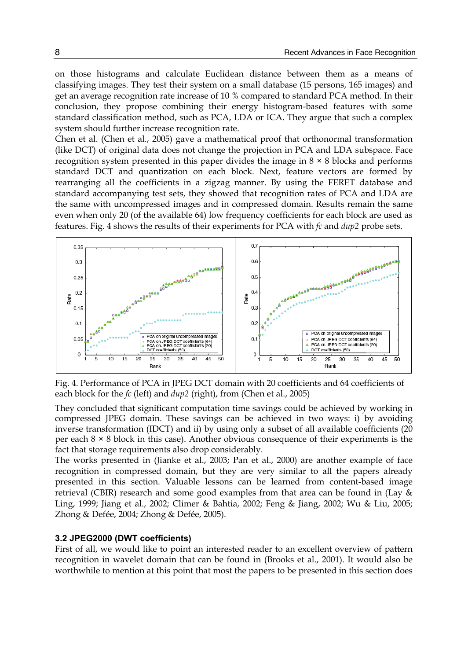on those histograms and calculate Euclidean distance between them as a means of classifying images. They test their system on a small database (15 persons, 165 images) and get an average recognition rate increase of 10 % compared to standard PCA method. In their conclusion, they propose combining their energy histogram-based features with some standard classification method, such as PCA, LDA or ICA. They argue that such a complex system should further increase recognition rate.

Chen et al. (Chen et al., 2005) gave a mathematical proof that orthonormal transformation (like DCT) of original data does not change the projection in PCA and LDA subspace. Face recognition system presented in this paper divides the image in  $8 \times 8$  blocks and performs standard DCT and quantization on each block. Next, feature vectors are formed by rearranging all the coefficients in a zigzag manner. By using the FERET database and standard accompanying test sets, they showed that recognition rates of PCA and LDA are the same with uncompressed images and in compressed domain. Results remain the same even when only 20 (of the available 64) low frequency coefficients for each block are used as features. Fig. 4 shows the results of their experiments for PCA with *fc* and *dup2* probe sets.



Fig. 4. Performance of PCA in JPEG DCT domain with 20 coefficients and 64 coefficients of each block for the *fc* (left) and *dup2* (right), from (Chen et al., 2005)

They concluded that significant computation time savings could be achieved by working in compressed JPEG domain. These savings can be achieved in two ways: i) by avoiding inverse transformation (IDCT) and ii) by using only a subset of all available coefficients (20 per each  $8 \times 8$  block in this case). Another obvious consequence of their experiments is the fact that storage requirements also drop considerably.

The works presented in (Jianke et al., 2003; Pan et al., 2000) are another example of face recognition in compressed domain, but they are very similar to all the papers already presented in this section. Valuable lessons can be learned from content-based image retrieval (CBIR) research and some good examples from that area can be found in (Lay & Ling, 1999; Jiang et al., 2002; Climer & Bahtia, 2002; Feng & Jiang, 2002; Wu & Liu, 2005; Zhong & Defée, 2004; Zhong & Defée, 2005).

## **3.2 JPEG2000 (DWT coefficients)**

First of all, we would like to point an interested reader to an excellent overview of pattern recognition in wavelet domain that can be found in (Brooks et al., 2001). It would also be worthwhile to mention at this point that most the papers to be presented in this section does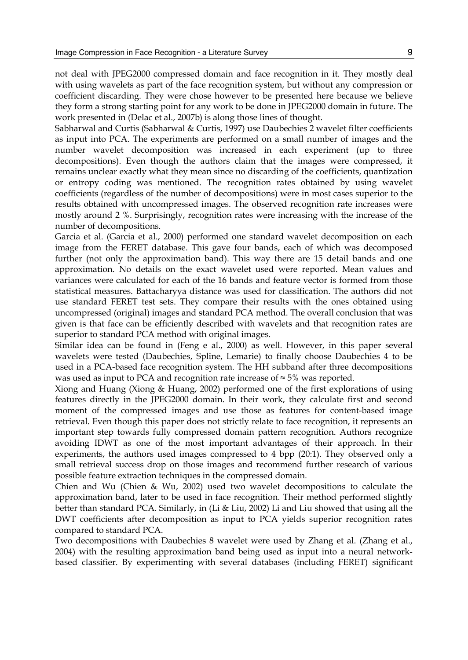not deal with JPEG2000 compressed domain and face recognition in it. They mostly deal with using wavelets as part of the face recognition system, but without any compression or coefficient discarding. They were chose however to be presented here because we believe they form a strong starting point for any work to be done in JPEG2000 domain in future. The work presented in (Delac et al., 2007b) is along those lines of thought.

Sabharwal and Curtis (Sabharwal & Curtis, 1997) use Daubechies 2 wavelet filter coefficients as input into PCA. The experiments are performed on a small number of images and the number wavelet decomposition was increased in each experiment (up to three decompositions). Even though the authors claim that the images were compressed, it remains unclear exactly what they mean since no discarding of the coefficients, quantization or entropy coding was mentioned. The recognition rates obtained by using wavelet coefficients (regardless of the number of decompositions) were in most cases superior to the results obtained with uncompressed images. The observed recognition rate increases were mostly around 2 %. Surprisingly, recognition rates were increasing with the increase of the number of decompositions.

Garcia et al. (Garcia et al., 2000) performed one standard wavelet decomposition on each image from the FERET database. This gave four bands, each of which was decomposed further (not only the approximation band). This way there are 15 detail bands and one approximation. No details on the exact wavelet used were reported. Mean values and variances were calculated for each of the 16 bands and feature vector is formed from those statistical measures. Battacharyya distance was used for classification. The authors did not use standard FERET test sets. They compare their results with the ones obtained using uncompressed (original) images and standard PCA method. The overall conclusion that was given is that face can be efficiently described with wavelets and that recognition rates are superior to standard PCA method with original images.

Similar idea can be found in (Feng e al., 2000) as well. However, in this paper several wavelets were tested (Daubechies, Spline, Lemarie) to finally choose Daubechies 4 to be used in a PCA-based face recognition system. The HH subband after three decompositions was used as input to PCA and recognition rate increase of ≈ 5% was reported.

Xiong and Huang (Xiong & Huang, 2002) performed one of the first explorations of using features directly in the JPEG2000 domain. In their work, they calculate first and second moment of the compressed images and use those as features for content-based image retrieval. Even though this paper does not strictly relate to face recognition, it represents an important step towards fully compressed domain pattern recognition. Authors recognize avoiding IDWT as one of the most important advantages of their approach. In their experiments, the authors used images compressed to 4 bpp (20:1). They observed only a small retrieval success drop on those images and recommend further research of various possible feature extraction techniques in the compressed domain.

Chien and Wu (Chien & Wu, 2002) used two wavelet decompositions to calculate the approximation band, later to be used in face recognition. Their method performed slightly better than standard PCA. Similarly, in (Li & Liu, 2002) Li and Liu showed that using all the DWT coefficients after decomposition as input to PCA yields superior recognition rates compared to standard PCA.

Two decompositions with Daubechies 8 wavelet were used by Zhang et al. (Zhang et al., 2004) with the resulting approximation band being used as input into a neural networkbased classifier. By experimenting with several databases (including FERET) significant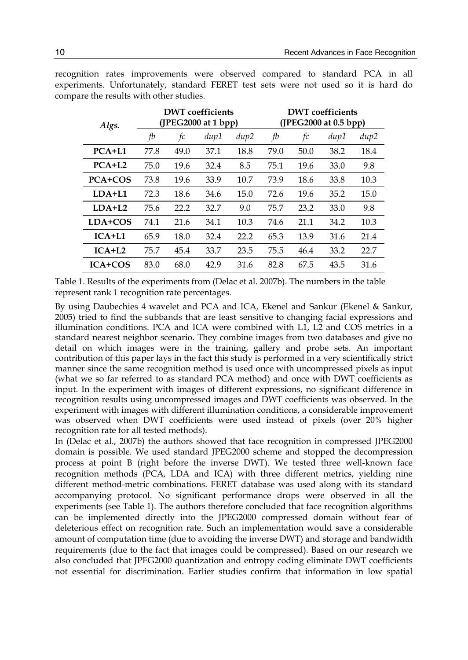**DWT coefficients (JPEG2000 at 1 bpp) DWT coefficients**  *Algs.* **(JPEG2000 at 1 bpp)** (JPEG2000 at 0.5 bpp) *fb fc dup1 dup2 fb fc dup1 dup2*  **PCA+L1** 77.8 49.0 37.1 18.8 79.0 50.0 38.2 18.4 **PCA+L2** 75.0 19.6 32.4 8.5 75.1 19.6 33.0 9.8 **PCA+COS** 73.8 19.6 33.9 10.7 73.9 18.6 33.8 10.3 **LDA+L1** 72.3 18.6 34.6 15.0 72.6 19.6 35.2 15.0 **LDA+L2** 75.6 22.2 32.7 9.0 75.7 23.2 33.0 9.8 **LDA+COS** 74.1 21.6 34.1 10.3 74.6 21.1 34.2 10.3 **ICA+L1** 65.9 18.0 32.4 22.2 65.3 13.9 31.6 21.4 **ICA+L2** 75.7 45.4 33.7 23.5 75.5 46.4 33.2 22.7 **ICA+COS** 83.0 68.0 42.9 31.6 82.8 67.5 43.5 31.6

recognition rates improvements were observed compared to standard PCA in all experiments. Unfortunately, standard FERET test sets were not used so it is hard do compare the results with other studies.

Table 1. Results of the experiments from (Delac et al. 2007b). The numbers in the table represent rank 1 recognition rate percentages.

By using Daubechies 4 wavelet and PCA and ICA, Ekenel and Sankur (Ekenel & Sankur, 2005) tried to find the subbands that are least sensitive to changing facial expressions and illumination conditions. PCA and ICA were combined with L1, L2 and COS metrics in a standard nearest neighbor scenario. They combine images from two databases and give no detail on which images were in the training, gallery and probe sets. An important contribution of this paper lays in the fact this study is performed in a very scientifically strict manner since the same recognition method is used once with uncompressed pixels as input (what we so far referred to as standard PCA method) and once with DWT coefficients as input. In the experiment with images of different expressions, no significant difference in recognition results using uncompressed images and DWT coefficients was observed. In the experiment with images with different illumination conditions, a considerable improvement was observed when DWT coefficients were used instead of pixels (over 20% higher recognition rate for all tested methods).

In (Delac et al., 2007b) the authors showed that face recognition in compressed JPEG2000 domain is possible. We used standard JPEG2000 scheme and stopped the decompression process at point B (right before the inverse DWT). We tested three well-known face recognition methods (PCA, LDA and ICA) with three different metrics, yielding nine different method-metric combinations. FERET database was used along with its standard accompanying protocol. No significant performance drops were observed in all the experiments (see Table 1). The authors therefore concluded that face recognition algorithms can be implemented directly into the JPEG2000 compressed domain without fear of deleterious effect on recognition rate. Such an implementation would save a considerable amount of computation time (due to avoiding the inverse DWT) and storage and bandwidth requirements (due to the fact that images could be compressed). Based on our research we also concluded that JPEG2000 quantization and entropy coding eliminate DWT coefficients not essential for discrimination. Earlier studies confirm that information in low spatial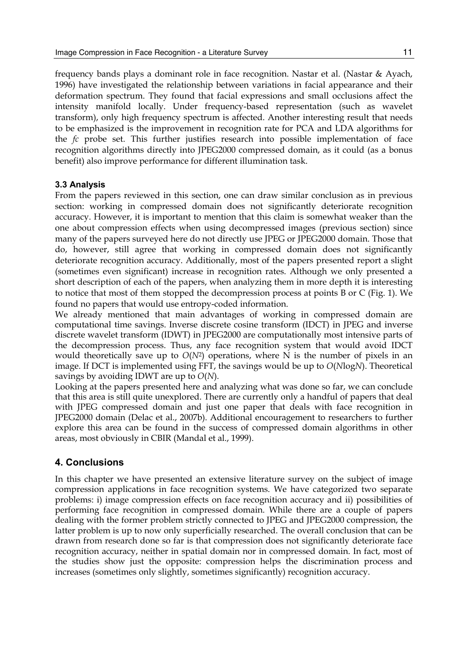frequency bands plays a dominant role in face recognition. Nastar et al. (Nastar & Ayach, 1996) have investigated the relationship between variations in facial appearance and their deformation spectrum. They found that facial expressions and small occlusions affect the intensity manifold locally. Under frequency-based representation (such as wavelet transform), only high frequency spectrum is affected. Another interesting result that needs to be emphasized is the improvement in recognition rate for PCA and LDA algorithms for the *fc* probe set. This further justifies research into possible implementation of face recognition algorithms directly into JPEG2000 compressed domain, as it could (as a bonus benefit) also improve performance for different illumination task.

#### **3.3 Analysis**

From the papers reviewed in this section, one can draw similar conclusion as in previous section: working in compressed domain does not significantly deteriorate recognition accuracy. However, it is important to mention that this claim is somewhat weaker than the one about compression effects when using decompressed images (previous section) since many of the papers surveyed here do not directly use JPEG or JPEG2000 domain. Those that do, however, still agree that working in compressed domain does not significantly deteriorate recognition accuracy. Additionally, most of the papers presented report a slight (sometimes even significant) increase in recognition rates. Although we only presented a short description of each of the papers, when analyzing them in more depth it is interesting to notice that most of them stopped the decompression process at points B or C (Fig. 1). We found no papers that would use entropy-coded information.

We already mentioned that main advantages of working in compressed domain are computational time savings. Inverse discrete cosine transform (IDCT) in JPEG and inverse discrete wavelet transform (IDWT) in JPEG2000 are computationally most intensive parts of the decompression process. Thus, any face recognition system that would avoid IDCT would theoretically save up to  $O(N^2)$  operations, where N is the number of pixels in an image. If DCT is implemented using FFT, the savings would be up to *O*(*N*log*N*). Theoretical savings by avoiding IDWT are up to *O*(*N*).

Looking at the papers presented here and analyzing what was done so far, we can conclude that this area is still quite unexplored. There are currently only a handful of papers that deal with JPEG compressed domain and just one paper that deals with face recognition in JPEG2000 domain (Delac et al., 2007b). Additional encouragement to researchers to further explore this area can be found in the success of compressed domain algorithms in other areas, most obviously in CBIR (Mandal et al., 1999).

## **4. Conclusions**

In this chapter we have presented an extensive literature survey on the subject of image compression applications in face recognition systems. We have categorized two separate problems: i) image compression effects on face recognition accuracy and ii) possibilities of performing face recognition in compressed domain. While there are a couple of papers dealing with the former problem strictly connected to JPEG and JPEG2000 compression, the latter problem is up to now only superficially researched. The overall conclusion that can be drawn from research done so far is that compression does not significantly deteriorate face recognition accuracy, neither in spatial domain nor in compressed domain. In fact, most of the studies show just the opposite: compression helps the discrimination process and increases (sometimes only slightly, sometimes significantly) recognition accuracy.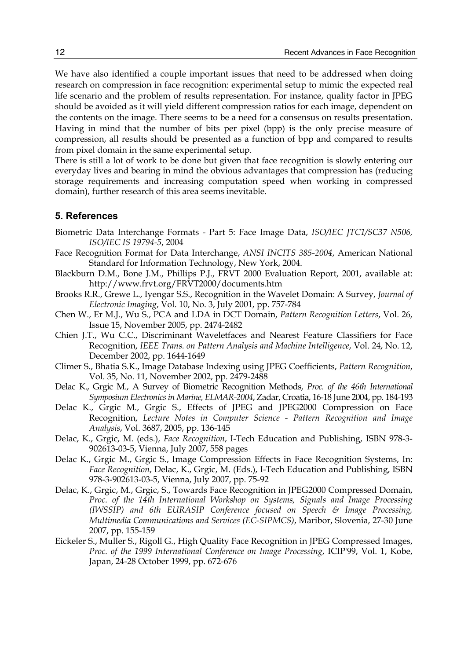We have also identified a couple important issues that need to be addressed when doing research on compression in face recognition: experimental setup to mimic the expected real life scenario and the problem of results representation. For instance, quality factor in JPEG should be avoided as it will yield different compression ratios for each image, dependent on the contents on the image. There seems to be a need for a consensus on results presentation. Having in mind that the number of bits per pixel (bpp) is the only precise measure of compression, all results should be presented as a function of bpp and compared to results from pixel domain in the same experimental setup.

There is still a lot of work to be done but given that face recognition is slowly entering our everyday lives and bearing in mind the obvious advantages that compression has (reducing storage requirements and increasing computation speed when working in compressed domain), further research of this area seems inevitable.

## **5. References**

- Biometric Data Interchange Formats Part 5: Face Image Data, *ISO/IEC JTC1/SC37 N506, ISO/IEC IS 19794-5*, 2004
- Face Recognition Format for Data Interchange, *ANSI INCITS 385-2004*, American National Standard for Information Technology, New York, 2004.
- Blackburn D.M., Bone J.M., Phillips P.J., FRVT 2000 Evaluation Report, 2001, available at: http://www.frvt.org/FRVT2000/documents.htm
- Brooks R.R., Grewe L., Iyengar S.S., Recognition in the Wavelet Domain: A Survey, *Journal of Electronic Imaging*, Vol. 10, No. 3, July 2001, pp. 757-784
- Chen W., Er M.J., Wu S., PCA and LDA in DCT Domain, *Pattern Recognition Letters*, Vol. 26, Issue 15, November 2005, pp. 2474-2482
- Chien J.T., Wu C.C., Discriminant Waveletfaces and Nearest Feature Classifiers for Face Recognition, *IEEE Trans. on Pattern Analysis and Machine Intelligence*, Vol. 24, No. 12, December 2002, pp. 1644-1649
- Climer S., Bhatia S.K., Image Database Indexing using JPEG Coefficients, *Pattern Recognition*, Vol. 35, No. 11, November 2002, pp. 2479-2488
- Delac K., Grgic M., A Survey of Biometric Recognition Methods, *Proc. of the 46th International Symposium Electronics in Marine, ELMAR-2004*, Zadar, Croatia, 16-18 June 2004, pp. 184-193
- Delac K., Grgic M., Grgic S., Effects of JPEG and JPEG2000 Compression on Face Recognition, *Lecture Notes in Computer Science - Pattern Recognition and Image Analysis*, Vol. 3687, 2005, pp. 136-145
- Delac, K., Grgic, M. (eds.), *Face Recognition*, I-Tech Education and Publishing, ISBN 978-3- 902613-03-5, Vienna, July 2007, 558 pages
- Delac K., Grgic M., Grgic S., Image Compression Effects in Face Recognition Systems, In: *Face Recognition*, Delac, K., Grgic, M. (Eds.), I-Tech Education and Publishing, ISBN 978-3-902613-03-5, Vienna, July 2007, pp. 75-92
- Delac, K., Grgic, M., Grgic, S., Towards Face Recognition in JPEG2000 Compressed Domain, *Proc. of the 14th International Workshop on Systems, Signals and Image Processing (IWSSIP) and 6th EURASIP Conference focused on Speech & Image Processing, Multimedia Communications and Services (EC-SIPMCS)*, Maribor, Slovenia, 27-30 June 2007, pp. 155-159
- Eickeler S., Muller S., Rigoll G., High Quality Face Recognition in JPEG Compressed Images, *Proc. of the 1999 International Conference on Image Processing*, ICIP'99, Vol. 1, Kobe, Japan, 24-28 October 1999, pp. 672-676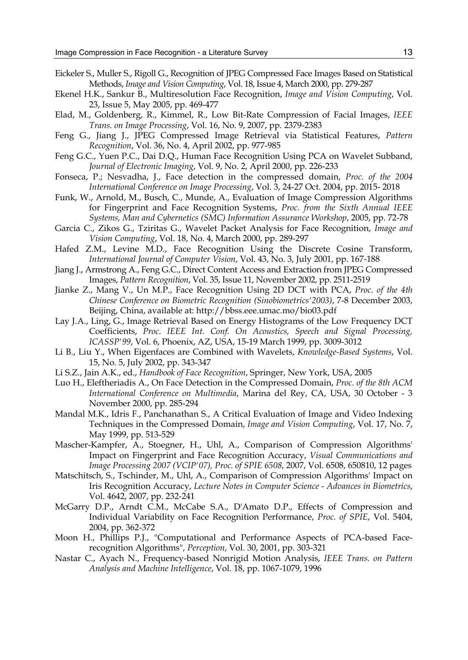- Eickeler S., Muller S., Rigoll G., Recognition of JPEG Compressed Face Images Based on Statistical Methods, *Image and Vision Computing*, Vol. 18, Issue 4, March 2000, pp. 279-287
- Ekenel H.K., Sankur B., Multiresolution Face Recognition, *Image and Vision Computing*, Vol. 23, Issue 5, May 2005, pp. 469-477
- Elad, M., Goldenberg, R., Kimmel, R., Low Bit-Rate Compression of Facial Images, *IEEE Trans. on Image Processing*, Vol. 16, No. 9, 2007, pp. 2379-2383
- Feng G., Jiang J., JPEG Compressed Image Retrieval via Statistical Features, *Pattern Recognition*, Vol. 36, No. 4, April 2002, pp. 977-985
- Feng G.C., Yuen P.C., Dai D.Q., Human Face Recognition Using PCA on Wavelet Subband, *Journal of Electronic Imaging*, Vol. 9, No. 2, April 2000, pp. 226-233
- Fonseca, P.; Nesvadha, J., Face detection in the compressed domain, *Proc. of the 2004 International Conference on Image Processing*, Vol. 3, 24-27 Oct. 2004, pp. 2015- 2018
- Funk, W., Arnold, M., Busch, C., Munde, A., Evaluation of Image Compression Algorithms for Fingerprint and Face Recognition Systems, *Proc. from the Sixth Annual IEEE Systems, Man and Cybernetics (SMC) Information Assurance Workshop*, 2005, pp. 72-78
- Garcia C., Zikos G., Tziritas G., Wavelet Packet Analysis for Face Recognition, *Image and Vision Computing*, Vol. 18, No. 4, March 2000, pp. 289-297
- Hafed Z.M., Levine M.D., Face Recognition Using the Discrete Cosine Transform, *International Journal of Computer Vision*, Vol. 43, No. 3, July 2001, pp. 167-188
- Jiang J., Armstrong A., Feng G.C., Direct Content Access and Extraction from JPEG Compressed Images, *Pattern Recognition*, Vol. 35, Issue 11, November 2002, pp. 2511-2519
- Jianke Z., Mang V., Un M.P., Face Recognition Using 2D DCT with PCA, *Proc. of the 4th Chinese Conference on Biometric Recognition (Sinobiometrics'2003)*, 7-8 December 2003, Beijing, China, available at: http://bbss.eee.umac.mo/bio03.pdf
- Lay J.A., Ling, G., Image Retrieval Based on Energy Histograms of the Low Frequency DCT Coefficients, *Proc. IEEE Int. Conf. On Acoustics, Speech and Signal Processing, ICASSP'99*, Vol. 6, Phoenix, AZ, USA, 15-19 March 1999, pp. 3009-3012
- Li B., Liu Y., When Eigenfaces are Combined with Wavelets, *Knowledge-Based Systems*, Vol. 15, No. 5, July 2002, pp. 343-347
- Li S.Z., Jain A.K., ed., *Handbook of Face Recognition*, Springer, New York, USA, 2005
- Luo H., Eleftheriadis A., On Face Detection in the Compressed Domain, *Proc. of the 8th ACM International Conference on Multimedia*, Marina del Rey, CA, USA, 30 October - 3 November 2000, pp. 285-294
- Mandal M.K., Idris F., Panchanathan S., A Critical Evaluation of Image and Video Indexing Techniques in the Compressed Domain, *Image and Vision Computing*, Vol. 17, No. 7, May 1999, pp. 513-529
- Mascher-Kampfer, A., Stoegner, H., Uhl, A., Comparison of Compression Algorithms' Impact on Fingerprint and Face Recognition Accuracy, *Visual Communications and Image Processing 2007 (VCIP'07), Proc. of SPIE 6508*, 2007, Vol. 6508, 650810, 12 pages
- Matschitsch, S., Tschinder, M., Uhl, A., Comparison of Compression Algorithms' Impact on Iris Recognition Accuracy, *Lecture Notes in Computer Science - Advances in Biometrics*, Vol. 4642, 2007, pp. 232-241
- McGarry D.P., Arndt C.M., McCabe S.A., D'Amato D.P., Effects of Compression and Individual Variability on Face Recognition Performance, *Proc. of SPIE*, Vol. 5404, 2004, pp. 362-372
- Moon H., Phillips P.J., "Computational and Performance Aspects of PCA-based Facerecognition Algorithms", *Perception*, Vol. 30, 2001, pp. 303-321
- Nastar C., Ayach N., Frequency-based Nonrigid Motion Analysis, *IEEE Trans. on Pattern Analysis and Machine Intelligence*, Vol. 18, pp. 1067-1079, 1996